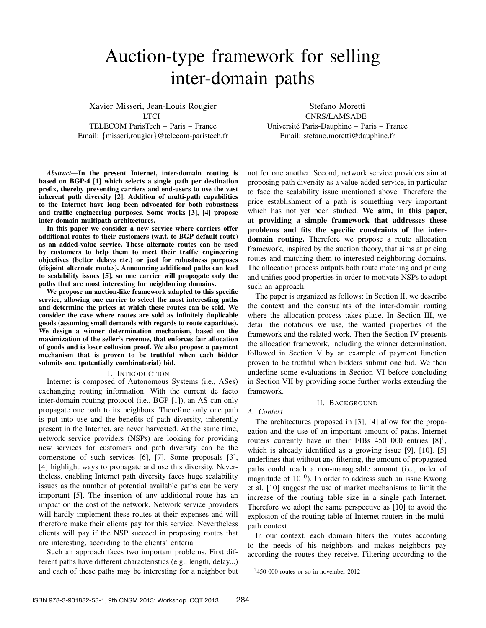# Auction-type framework for selling inter-domain paths

Xavier Misseri, Jean-Louis Rougier **LTCI** TELECOM ParisTech – Paris – France Email: {misseri,rougier}@telecom-paristech.fr

Stefano Moretti CNRS/LAMSADE Universite Paris-Dauphine – Paris – France ´ Email: stefano.moretti@dauphine.fr

*Abstract*—In the present Internet, inter-domain routing is based on BGP-4 [1] which selects a single path per destination prefix, thereby preventing carriers and end-users to use the vast inherent path diversity [2]. Addition of multi-path capabilities to the Internet have long been advocated for both robustness and traffic engineering purposes. Some works [3], [4] propose inter-domain multipath architectures.

In this paper we consider a new service where carriers offer additional routes to their customers (w.r.t. to BGP default route) as an added-value service. These alternate routes can be used by customers to help them to meet their traffic engineering objectives (better delays etc.) or just for robustness purposes (disjoint alternate routes). Announcing additional paths can lead to scalability issues [5], so one carrier will propagate only the paths that are most interesting for neighboring domains.

We propose an auction-like framework adapted to this specific service, allowing one carrier to select the most interesting paths and determine the prices at which these routes can be sold. We consider the case where routes are sold as infinitely duplicable goods (assuming small demands with regards to route capacities). We design a winner determination mechanism, based on the maximization of the seller's revenue, that enforces fair allocation of goods and is loser collusion proof. We also propose a payment mechanism that is proven to be truthful when each bidder submits one (potentially combinatorial) bid.

#### I. INTRODUCTION

Internet is composed of Autonomous Systems (i.e., ASes) exchanging routing information. With the current de facto inter-domain routing protocol (i.e., BGP [1]), an AS can only propagate one path to its neighbors. Therefore only one path is put into use and the benefits of path diversity, inherently present in the Internet, are never harvested. At the same time, network service providers (NSPs) are looking for providing new services for customers and path diversity can be the cornerstone of such services [6], [7]. Some proposals [3], [4] highlight ways to propagate and use this diversity. Nevertheless, enabling Internet path diversity faces huge scalability issues as the number of potential available paths can be very important [5]. The insertion of any additional route has an impact on the cost of the network. Network service providers will hardly implement these routes at their expenses and will therefore make their clients pay for this service. Nevertheless clients will pay if the NSP succeed in proposing routes that are interesting, according to the clients' criteria.

Such an approach faces two important problems. First different paths have different characteristics (e.g., length, delay...) and each of these paths may be interesting for a neighbor but not for one another. Second, network service providers aim at proposing path diversity as a value-added service, in particular to face the scalability issue mentioned above. Therefore the price establishment of a path is something very important which has not yet been studied. We aim, in this paper, at providing a simple framework that addresses these problems and fits the specific constraints of the interdomain routing. Therefore we propose a route allocation framework, inspired by the auction theory, that aims at pricing routes and matching them to interested neighboring domains. The allocation process outputs both route matching and pricing and unifies good properties in order to motivate NSPs to adopt such an approach.

The paper is organized as follows: In Section II, we describe the context and the constraints of the inter-domain routing where the allocation process takes place. In Section III, we detail the notations we use, the wanted properties of the framework and the related work. Then the Section IV presents the allocation framework, including the winner determination, followed in Section V by an example of payment function proven to be truthful when bidders submit one bid. We then underline some evaluations in Section VI before concluding in Section VII by providing some further works extending the framework.

## II. BACKGROUND

# *A. Context*

The architectures proposed in [3], [4] allow for the propagation and the use of an important amount of paths. Internet routers currently have in their FIBs 450 000 entries  $[8]$ <sup>1</sup>, which is already identified as a growing issue [9], [10]. [5] underlines that without any filtering, the amount of propagated paths could reach a non-manageable amount (i.e., order of magnitude of  $10^{10}$ ). In order to address such an issue Kwong et al. [10] suggest the use of market mechanisms to limit the increase of the routing table size in a single path Internet. Therefore we adopt the same perspective as [10] to avoid the explosion of the routing table of Internet routers in the multipath context.

In our context, each domain filters the routes according to the needs of his neighbors and makes neighbors pay according the routes they receive. Filtering according to the

<sup>1</sup>450 000 routes or so in november 2012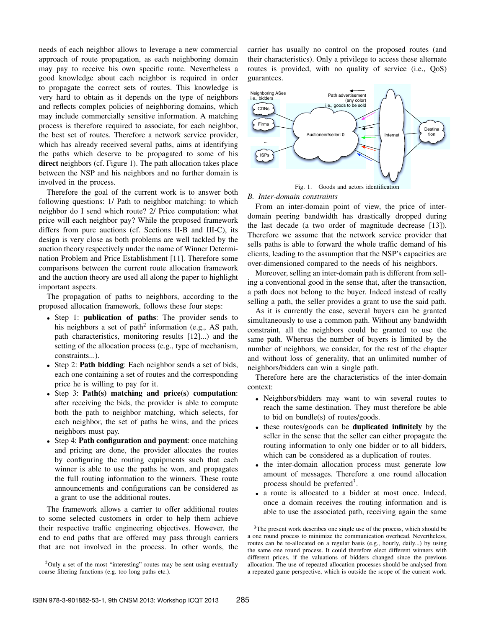needs of each neighbor allows to leverage a new commercial approach of route propagation, as each neighboring domain may pay to receive his own specific route. Nevertheless a good knowledge about each neighbor is required in order to propagate the correct sets of routes. This knowledge is very hard to obtain as it depends on the type of neighbors and reflects complex policies of neighboring domains, which may include commercially sensitive information. A matching process is therefore required to associate, for each neighbor, the best set of routes. Therefore a network service provider, which has already received several paths, aims at identifying the paths which deserve to be propagated to some of his direct neighbors (cf. Figure 1). The path allocation takes place between the NSP and his neighbors and no further domain is involved in the process.

Therefore the goal of the current work is to answer both following questions: 1/ Path to neighbor matching: to which neighbor do I send which route? 2/ Price computation: what price will each neighbor pay? While the proposed framework differs from pure auctions (cf. Sections II-B and III-C), its design is very close as both problems are well tackled by the auction theory respectively under the name of Winner Determination Problem and Price Establishment [11]. Therefore some comparisons between the current route allocation framework and the auction theory are used all along the paper to highlight important aspects.

The propagation of paths to neighbors, according to the proposed allocation framework, follows these four steps:

- Step 1: publication of paths: The provider sends to his neighbors a set of path<sup>2</sup> information (e.g., AS path, path characteristics, monitoring results [12]...) and the setting of the allocation process (e.g., type of mechanism, constraints...).
- Step 2: Path bidding: Each neighbor sends a set of bids, each one containing a set of routes and the corresponding price he is willing to pay for it.
- Step 3: Path(s) matching and price(s) computation: after receiving the bids, the provider is able to compute both the path to neighbor matching, which selects, for each neighbor, the set of paths he wins, and the prices neighbors must pay.
- Step 4: Path configuration and payment: once matching and pricing are done, the provider allocates the routes by configuring the routing equipments such that each winner is able to use the paths he won, and propagates the full routing information to the winners. These route announcements and configurations can be considered as a grant to use the additional routes.

The framework allows a carrier to offer additional routes to some selected customers in order to help them achieve their respective traffic engineering objectives. However, the end to end paths that are offered may pass through carriers that are not involved in the process. In other words, the

<sup>2</sup>Only a set of the most "interesting" routes may be sent using eventually coarse filtering functions (e.g. too long paths etc.).

carrier has usually no control on the proposed routes (and their characteristics). Only a privilege to access these alternate routes is provided, with no quality of service (i.e., QoS) guarantees.



# *B. Inter-domain constraints*

From an inter-domain point of view, the price of interdomain peering bandwidth has drastically dropped during the last decade (a two order of magnitude decrease [13]). Therefore we assume that the network service provider that sells paths is able to forward the whole traffic demand of his clients, leading to the assumption that the NSP's capacities are over-dimensioned compared to the needs of his neighbors.

Moreover, selling an inter-domain path is different from selling a conventional good in the sense that, after the transaction, a path does not belong to the buyer. Indeed instead of really selling a path, the seller provides a grant to use the said path.

As it is currently the case, several buyers can be granted simultaneously to use a common path. Without any bandwidth constraint, all the neighbors could be granted to use the same path. Whereas the number of buyers is limited by the number of neighbors, we consider, for the rest of the chapter and without loss of generality, that an unlimited number of neighbors/bidders can win a single path.

Therefore here are the characteristics of the inter-domain context:

- Neighbors/bidders may want to win several routes to reach the same destination. They must therefore be able to bid on bundle(s) of routes/goods.
- these routes/goods can be **duplicated infinitely** by the seller in the sense that the seller can either propagate the routing information to only one bidder or to all bidders, which can be considered as a duplication of routes.
- the inter-domain allocation process must generate low amount of messages. Therefore a one round allocation process should be preferred<sup>3</sup>.
- a route is allocated to a bidder at most once. Indeed, once a domain receives the routing information and is able to use the associated path, receiving again the same

<sup>3</sup>The present work describes one single use of the process, which should be a one round process to minimize the communication overhead. Nevertheless, routes can be re-allocated on a regular basis (e.g., hourly, daily...) by using the same one round process. It could therefore elect different winners with different prices, if the valuations of bidders changed since the previous allocation. The use of repeated allocation processes should be analysed from a repeated game perspective, which is outside the scope of the current work.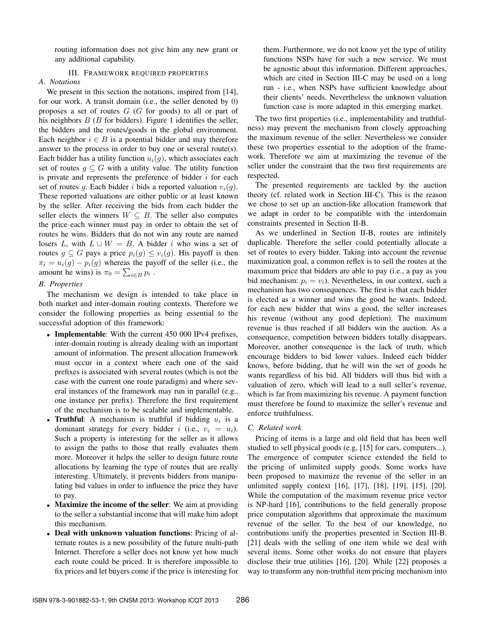routing information does not give him any new grant or any additional capability.

# III. FRAMEWORK REQUIRED PROPERTIES

# *A. Notations*

We present in this section the notations, inspired from [14], for our work. A transit domain (i.e., the seller denoted by 0) proposes a set of routes  $G$  ( $G$  for goods) to all or part of his neighbors  $B(B)$  for bidders). Figure 1 identifies the seller, the bidders and the routes/goods in the global environment. Each neighbor  $i \in B$  is a potential bidder and may therefore answer to the process in order to buy one or several route(s). Each bidder has a utility function  $u_i(q)$ , which associates each set of routes  $g \subseteq G$  with a utility value. The utility function is private and represents the preference of bidder  $i$  for each set of routes g. Each bidder i bids a reported valuation  $v_i(g)$ . These reported valuations are either public or at least known by the seller. After receiving the bids from each bidder the seller elects the winners  $W \subseteq B$ . The seller also computes the price each winner must pay in order to obtain the set of routes he wins. Bidders that do not win any route are named losers L, with  $L \cup W = B$ . A bidder i who wins a set of routes  $g \subseteq G$  pays a price  $p_i(g) \leq v_i(g)$ . His payoff is then  $\pi_i = u_i(g) - p_i(g)$  whereas the payoff of the seller (i.e., the amount he wins) is  $\pi_0 = \sum_{i \in B} p_i$ .

## *B. Properties*

The mechanism we design is intended to take place in both market and inter-domain routing contexts. Therefore we consider the following properties as being essential to the successful adoption of this framework:

- Implementable: With the current 450 000 IPv4 prefixes, inter-domain routing is already dealing with an important amount of information. The present allocation framework must occur in a context where each one of the said prefixes is associated with several routes (which is not the case with the current one route paradigm) and where several instances of the framework may run in parallel (e.g., one instance per prefix). Therefore the first requirement of the mechanism is to be scalable and implementable.
- Truthful: A mechanism is truthful if bidding  $u_i$  is a dominant strategy for every bidder i (i.e.,  $v_i = u_i$ ). Such a property is interesting for the seller as it allows to assign the paths to those that really evaluates them more. Moreover it helps the seller to design future route allocations by learning the type of routes that are really interesting. Ultimately, it prevents bidders from manipulating bid values in order to influence the price they have to pay.
- Maximize the income of the seller: We aim at providing to the seller a substantial income that will make him adopt this mechanism.
- Deal with unknown valuation functions: Pricing of alternate routes is a new possibility of the future multi-path Internet. Therefore a seller does not know yet how much each route could be priced. It is therefore impossible to fix prices and let buyers come if the price is interesting for

them. Furthermore, we do not know yet the type of utility functions NSPs have for such a new service. We must be agnostic about this information. Different approaches, which are cited in Section III-C may be used on a long run - i.e., when NSPs have sufficient knowledge about their clients' needs. Nevertheless the unknown valuation function case is more adapted in this emerging market.

The two first properties (i.e., implementability and truthfulness) may prevent the mechanism from closely approaching the maximum revenue of the seller. Nevertheless we consider these two properties essential to the adoption of the framework. Therefore we aim at maximizing the revenue of the seller under the constraint that the two first requirements are respected.

The presented requirements are tackled by the auction theory (cf. related work in Section III-C). This is the reason we chose to set up an auction-like allocation framework that we adapt in order to be compatible with the interdomain constraints presented in Section II-B.

As we underlined in Section II-B, routes are infinitely duplicable. Therefore the seller could potentially allocate a set of routes to every bidder. Taking into account the revenue maximization goal, a common reflex is to sell the routes at the maximum price that bidders are able to pay (i.e., a pay as you bid mechanism:  $p_i = v_i$ ). Nevertheless, in our context, such a mechanism has two consequences. The first is that each bidder is elected as a winner and wins the good he wants. Indeed, for each new bidder that wins a good, the seller increases his revenue (without any good depletion). The maximum revenue is thus reached if all bidders win the auction. As a consequence, competition between bidders totally disappears. Moreover, another consequence is the lack of truth, which encourage bidders to bid lower values. Indeed each bidder knows, before bidding, that he will win the set of goods he wants regardless of his bid. All bidders will thus bid with a valuation of zero, which will lead to a null seller's revenue, which is far from maximizing his revenue. A payment function must therefore be found to maximize the seller's revenue and enforce truthfulness.

# *C. Related work*

Pricing of items is a large and old field that has been well studied to sell physical goods (e.g, [15] for cars, computers...). The emergence of computer science extended the field to the pricing of unlimited supply goods. Some works have been proposed to maximize the revenue of the seller in an unlimited supply context [16], [17], [18], [19], [15], [20]. While the computation of the maximum revenue price vector is NP-hard [16], contributions to the field generally propose price computation algorithms that approximate the maximum revenue of the seller. To the best of our knowledge, no contributions unify the properties presented in Section III-B. [21] deals with the selling of one item while we deal with several items. Some other works do not ensure that players disclose their true utilities [16], [20]. While [22] proposes a way to transform any non-truthful item pricing mechanism into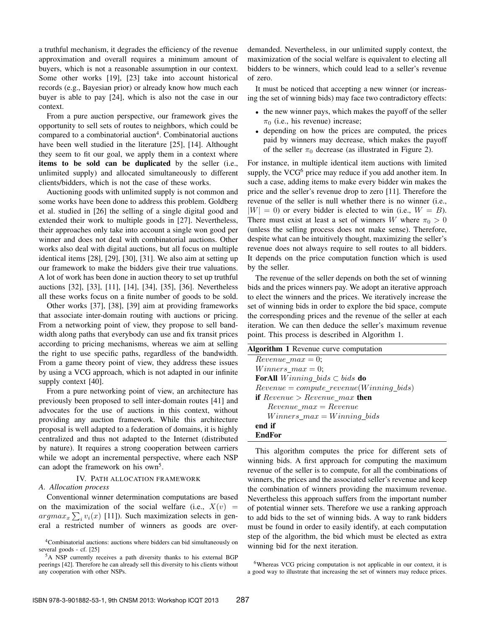a truthful mechanism, it degrades the efficiency of the revenue approximation and overall requires a minimum amount of buyers, which is not a reasonable assumption in our context. Some other works [19], [23] take into account historical records (e.g., Bayesian prior) or already know how much each buyer is able to pay [24], which is also not the case in our context.

From a pure auction perspective, our framework gives the opportunity to sell sets of routes to neighbors, which could be compared to a combinatorial auction<sup>4</sup>. Combinatorial auctions have been well studied in the literature [25], [14]. Althought they seem to fit our goal, we apply them in a context where items to be sold can be duplicated by the seller (i.e., unlimited supply) and allocated simultaneously to different clients/bidders, which is not the case of these works.

Auctioning goods with unlimited supply is not common and some works have been done to address this problem. Goldberg et al. studied in [26] the selling of a single digital good and extended their work to multiple goods in [27]. Nevertheless, their approaches only take into account a single won good per winner and does not deal with combinatorial auctions. Other works also deal with digital auctions, but all focus on multiple identical items [28], [29], [30], [31]. We also aim at setting up our framework to make the bidders give their true valuations. A lot of work has been done in auction theory to set up truthful auctions [32], [33], [11], [14], [34], [35], [36]. Nevertheless all these works focus on a finite number of goods to be sold.

Other works [37], [38], [39] aim at providing frameworks that associate inter-domain routing with auctions or pricing. From a networking point of view, they propose to sell bandwidth along paths that everybody can use and fix transit prices according to pricing mechanisms, whereas we aim at selling the right to use specific paths, regardless of the bandwidth. From a game theory point of view, they address these issues by using a VCG approach, which is not adapted in our infinite supply context [40].

From a pure networking point of view, an architecture has previously been proposed to sell inter-domain routes [41] and advocates for the use of auctions in this context, without providing any auction framework. While this architecture proposal is well adapted to a federation of domains, it is highly centralized and thus not adapted to the Internet (distributed by nature). It requires a strong cooperation between carriers while we adopt an incremental perspective, where each NSP can adopt the framework on his own<sup>5</sup>.

## IV. PATH ALLOCATION FRAMEWORK

#### *A. Allocation process*

Conventional winner determination computations are based on the maximization of the social welfare (i.e.,  $X(v)$  =  $argmax_x \sum_i v_i(x)$  [11]). Such maximization selects in general a restricted number of winners as goods are overdemanded. Nevertheless, in our unlimited supply context, the maximization of the social welfare is equivalent to electing all bidders to be winners, which could lead to a seller's revenue of zero.

It must be noticed that accepting a new winner (or increasing the set of winning bids) may face two contradictory effects:

- the new winner pays, which makes the payoff of the seller  $\pi_0$  (i.e., his revenue) increase;
- depending on how the prices are computed, the prices paid by winners may decrease, which makes the payoff of the seller  $\pi_0$  decrease (as illustrated in Figure 2).

For instance, in multiple identical item auctions with limited supply, the  $VCG<sup>6</sup>$  price may reduce if you add another item. In such a case, adding items to make every bidder win makes the price and the seller's revenue drop to zero [11]. Therefore the revenue of the seller is null whether there is no winner (i.e.,  $|W| = 0$ ) or every bidder is elected to win (i.e.,  $W = B$ ). There must exist at least a set of winners W where  $\pi_0 > 0$ (unless the selling process does not make sense). Therefore, despite what can be intuitively thought, maximizing the seller's revenue does not always require to sell routes to all bidders. It depends on the price computation function which is used by the seller.

The revenue of the seller depends on both the set of winning bids and the prices winners pay. We adopt an iterative approach to elect the winners and the prices. We iteratively increase the set of winning bids in order to explore the bid space, compute the corresponding prices and the revenue of the seller at each iteration. We can then deduce the seller's maximum revenue point. This process is described in Algorithm 1.

| <b>Algorithm 1</b> Revenue curve computation        |
|-----------------------------------------------------|
| $Revenue$ $max = 0$ ;                               |
| $Winners\_max = 0:$                                 |
| <b>ForAll</b> Winning_bids $\subset$ bids <b>do</b> |
| $Revenue = compute\_revenue(Winning\_bids)$         |
| <b>if</b> $Revenue > Revenue$ $max$ <b>then</b>     |
| $Revenue$ $max = Revenue$                           |
| $Winners\_max = Winning\_bids$                      |
| end if                                              |
| EndFor                                              |

This algorithm computes the price for different sets of winning bids. A first approach for computing the maximum revenue of the seller is to compute, for all the combinations of winners, the prices and the associated seller's revenue and keep the combination of winners providing the maximum revenue. Nevertheless this approach suffers from the important number of potential winner sets. Therefore we use a ranking approach to add bids to the set of winning bids. A way to rank bidders must be found in order to easily identify, at each computation step of the algorithm, the bid which must be elected as extra winning bid for the next iteration.

<sup>4</sup>Combinatorial auctions: auctions where bidders can bid simultaneously on several goods - cf. [25]

<sup>5</sup>A NSP currently receives a path diversity thanks to his external BGP peerings [42]. Therefore he can already sell this diversity to his clients without any cooperation with other NSPs.

<sup>6</sup>Whereas VCG pricing computation is not applicable in our context, it is a good way to illustrate that increasing the set of winners may reduce prices.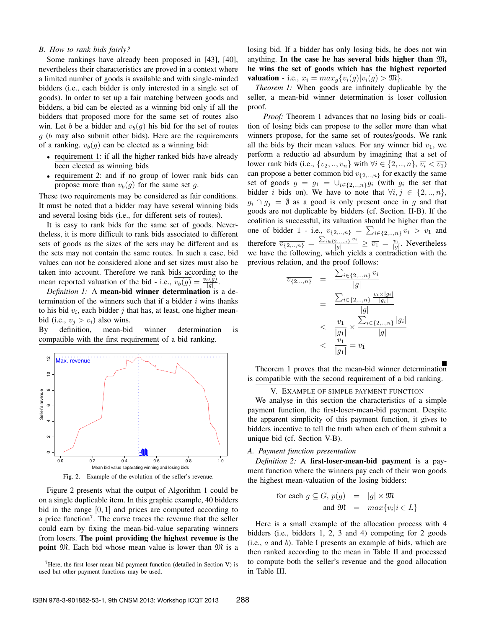## *B. How to rank bids fairly?*

Some rankings have already been proposed in [43], [40], nevertheless their characteristics are proved in a context where a limited number of goods is available and with single-minded bidders (i.e., each bidder is only interested in a single set of goods). In order to set up a fair matching between goods and bidders, a bid can be elected as a winning bid only if all the bidders that proposed more for the same set of routes also win. Let b be a bidder and  $v_b(q)$  his bid for the set of routes  $g$  (b may also submit other bids). Here are the requirements of a ranking.  $v_b(q)$  can be elected as a winning bid:

- requirement 1: if all the higher ranked bids have already been elected as winning bids
- requirement 2: and if no group of lower rank bids can propose more than  $v_b(g)$  for the same set g.

These two requirements may be considered as fair conditions. It must be noted that a bidder may have several winning bids and several losing bids (i.e., for different sets of routes).

It is easy to rank bids for the same set of goods. Nevertheless, it is more difficult to rank bids associated to different sets of goods as the sizes of the sets may be different and as the sets may not contain the same routes. In such a case, bid values can not be considered alone and set sizes must also be taken into account. Therefore we rank bids according to the mean reported valuation of the bid - i.e.,  $\overline{v_b(g)} = \frac{v_b(g)}{|g|}$ .

*Definition 1:* A mean-bid winner determination is a determination of the winners such that if a bidder  $i$  wins thanks to his bid  $v_i$ , each bidder  $j$  that has, at least, one higher meanbid (i.e.,  $\overline{v_i} > \overline{v_i}$ ) also wins.

By definition, mean-bid winner determination is compatible with the first requirement of a bid ranking.





Figure 2 presents what the output of Algorithm 1 could be on a single duplicable item. In this graphic example, 40 bidders bid in the range  $[0, 1]$  and prices are computed according to a price function<sup>7</sup>. The curve traces the revenue that the seller could earn by fixing the mean-bid-value separating winners from losers. The point providing the highest revenue is the **point** M. Each bid whose mean value is lower than M is a

<sup>7</sup>Here, the first-loser-mean-bid payment function (detailed in Section V) is used but other payment functions may be used.

losing bid. If a bidder has only losing bids, he does not win anything. In the case he has several bids higher than  $\mathfrak{M}$ , he wins the set of goods which has the highest reported valuation - i.e.,  $x_i = max_q \{v_i(g)|v_i(g) > \mathfrak{M}\}.$ 

*Theorem 1:* When goods are infinitely duplicable by the seller, a mean-bid winner determination is loser collusion proof.

*Proof:* Theorem 1 advances that no losing bids or coalition of losing bids can propose to the seller more than what winners propose, for the same set of routes/goods. We rank all the bids by their mean values. For any winner bid  $v_1$ , we perform a reductio ad absurdum by imagining that a set of lower rank bids (i.e.,  $\{v_2, ..., v_n\}$  with  $\forall i \in \{2, ..., n\}, \overline{v_i} < \overline{v_1}$ ) can propose a better common bid  $v_{\{2,..,n\}}$  for exactly the same set of goods  $g = g_1 = \bigcup_{i \in \{2, ..., n\}} g_i$  (with  $g_i$  the set that bidder *i* bids on). We have to note that  $\forall i, j \in \{2, ..., n\},$  $g_i \cap g_j = \emptyset$  as a good is only present once in g and that goods are not duplicable by bidders (cf. Section. II-B). If the coalition is successful, its valuation should be higher than the one of bidder 1 - i.e.,  $v_{\{2,..,n\}} = \sum_{i \in \{2,..,n\}} v_i > v_1$  and therefore  $\overline{v_{\{2,..,n\}}} = \frac{\sum_{i \in \{2,...,n\}} v_i}{|g|} \ge \overline{v_1} = \frac{v_1}{|g|}$ . Nevertheless we have the following, which yields a contradiction with the previous relation, and the proof follows:

$$
\overline{v_{\{2,\ldots,n\}}}\n= \frac{\sum_{i\in\{2,\ldots,n\}} v_i}{|g|}\n= \frac{\sum_{i\in\{2,\ldots,n\}} \frac{v_i \times |g_i|}{|g_i|}}{|g|}\n< \frac{v_1}{|g_1|} \times \frac{\sum_{i\in\{2,\ldots,n\}} |g_i|}{|g|}\n< \frac{v_1}{|g_1|} = \overline{v_1}
$$

Theorem 1 proves that the mean-bid winner determination is compatible with the second requirement of a bid ranking.

# V. EXAMPLE OF SIMPLE PAYMENT FUNCTION

We analyse in this section the characteristics of a simple payment function, the first-loser-mean-bid payment. Despite the apparent simplicity of this payment function, it gives to bidders incentive to tell the truth when each of them submit a unique bid (cf. Section V-B).

#### *A. Payment function presentation*

*Definition 2:* A first-loser-mean-bid payment is a payment function where the winners pay each of their won goods the highest mean-valuation of the losing bidders:

for each 
$$
g \subseteq G
$$
,  $p(g) = |g| \times \mathfrak{M}$   
and  $\mathfrak{M} = \max{\{\overline{v_i} | i \in L\}}$ 

Here is a small example of the allocation process with 4 bidders (i.e., bidders 1, 2, 3 and 4) competing for 2 goods  $(i.e., a and b)$ . Table I presents an example of bids, which are then ranked according to the mean in Table II and processed to compute both the seller's revenue and the good allocation in Table III.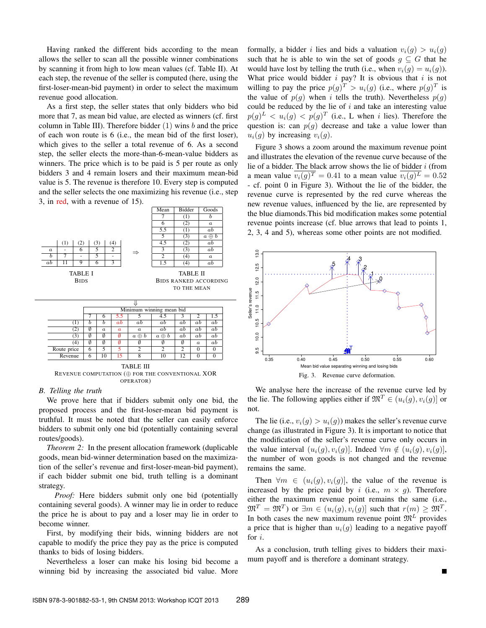Having ranked the different bids according to the mean allows the seller to scan all the possible winner combinations by scanning it from high to low mean values (cf. Table II). At each step, the revenue of the seller is computed (here, using the first-loser-mean-bid payment) in order to select the maximum revenue good allocation.

As a first step, the seller states that only bidders who bid more that 7, as mean bid value, are elected as winners (cf. first column in Table III). Therefore bidder  $(1)$  wins b and the price of each won route is 6 (i.e., the mean bid of the first loser), which gives to the seller a total revenue of 6. As a second step, the seller elects the more-than-6-mean-value bidders as winners. The price which is to be paid is 5 per route as only bidders 3 and 4 remain losers and their maximum mean-bid value is 5. The revenue is therefore 10. Every step is computed and the seller selects the one maximizing his revenue (i.e., step 3, in red, with a revenue of 15).



REVENUE COMPUTATION (⊕ FOR THE CONVENTIONAL XOR OPERATOR)

# *B. Telling the truth*

We prove here that if bidders submit only one bid, the proposed process and the first-loser-mean bid payment is truthful. It must be noted that the seller can easily enforce bidders to submit only one bid (potentially containing several routes/goods).

*Theorem 2:* In the present allocation framework (duplicable goods, mean bid-winner determination based on the maximization of the seller's revenue and first-loser-mean-bid payment), if each bidder submit one bid, truth telling is a dominant strategy.

*Proof:* Here bidders submit only one bid (potentially containing several goods). A winner may lie in order to reduce the price he is about to pay and a loser may lie in order to become winner.

First, by modifying their bids, winning bidders are not capable to modify the price they pay as the price is computed thanks to bids of losing bidders.

Nevertheless a loser can make his losing bid become a winning bid by increasing the associated bid value. More formally, a bidder i lies and bids a valuation  $v_i(q) > u_i(q)$ such that he is able to win the set of goods  $g \subseteq G$  that he would have lost by telling the truth (i.e., when  $v_i(g) = u_i(g)$ ). What price would bidder  $i$  pay? It is obvious that  $i$  is not willing to pay the price  $p(g)^T > u_i(g)$  (i.e., where  $p(g)^T$  is the value of  $p(q)$  when i tells the truth). Nevertheless  $p(q)$ could be reduced by the lie of  $i$  and take an interesting value  $p(g)^L < u_i(g) < p(g)^T$  (i.e., L when i lies). Therefore the question is: can  $p(q)$  decrease and take a value lower than  $u_i(q)$  by increasing  $v_i(q)$ .

Figure 3 shows a zoom around the maximum revenue point and illustrates the elevation of the revenue curve because of the lie of a bidder. The black arrow shows the lie of bidder  $i$  (from a mean value  $v_i(g)^T = 0.41$  to a mean value  $v_i(g)^L = 0.52$ - cf. point 0 in Figure 3). Without the lie of the bidder, the revenue curve is represented by the red curve whereas the new revenue values, influenced by the lie, are represented by the blue diamonds.This bid modification makes some potential revenue points increase (cf. blue arrows that lead to points 1, 2, 3, 4 and 5), whereas some other points are not modified.



Fig. 3. Revenue curve deformation.

We analyse here the increase of the revenue curve led by the lie. The following applies either if  $\mathfrak{M}^T \in (u_i(q), v_i(q))$  or not.

The lie (i.e.,  $v_i(g) > u_i(g)$ ) makes the seller's revenue curve change (as illustrated in Figure 3). It is important to notice that the modification of the seller's revenue curve only occurs in the value interval  $(u_i(g), v_i(g))$ . Indeed  $\forall m \notin (u_i(g), v_i(g))$ , the number of won goods is not changed and the revenue remains the same.

Then  $\forall m \in (u_i(g), v_i(g))$ , the value of the revenue is increased by the price paid by i (i.e.,  $m \times q$ ). Therefore either the maximum revenue point remains the same (i.e.,  $\mathfrak{M}^T = \mathfrak{M}^T$ ) or  $\exists m \in (u_i(g), v_i(g)]$  such that  $r(m) \geq \mathfrak{M}^T$ . In both cases the new maximum revenue point  $\mathfrak{M}^L$  provides a price that is higher than  $u_i(g)$  leading to a negative payoff for i.

As a conclusion, truth telling gives to bidders their maximum payoff and is therefore a dominant strategy.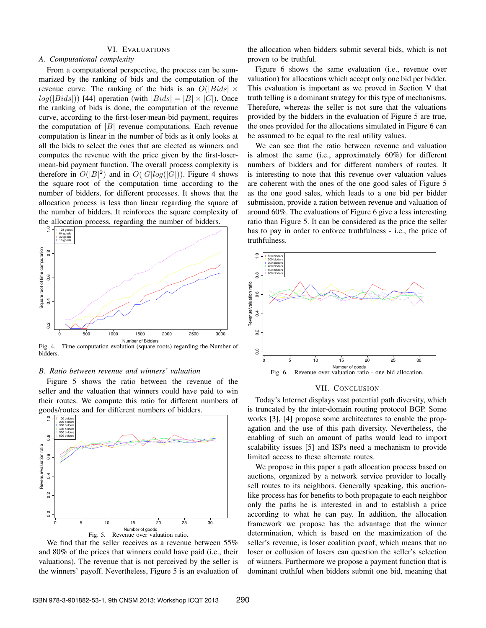## VI. EVALUATIONS

## *A. Computational complexity*

From a computational perspective, the process can be summarized by the ranking of bids and the computation of the revenue curve. The ranking of the bids is an  $O(|Bids| \times$  $log(|Bids|)$  [44] operation (with  $|Bids| = |B| \times |G|$ ). Once the ranking of bids is done, the computation of the revenue curve, according to the first-loser-mean-bid payment, requires the computation of  $|B|$  revenue computations. Each revenue computation is linear in the number of bids as it only looks at all the bids to select the ones that are elected as winners and computes the revenue with the price given by the first-losermean-bid payment function. The overall process complexity is therefore in  $O(|B|^2)$  and in  $O(|G|log(|G|))$ . Figure 4 shows the square root of the computation time according to the number of bidders, for different processes. It shows that the allocation process is less than linear regarding the square of the number of bidders. It reinforces the square complexity of the allocation process, regarding the number of bidders.



Fig. 4. Time computation evolution (square roots) regarding the Number of bidders.

#### *B. Ratio between revenue and winners' valuation*

Figure 5 shows the ratio between the revenue of the seller and the valuation that winners could have paid to win their routes. We compute this ratio for different numbers of



We find that the seller receives as a revenue between 55% and 80% of the prices that winners could have paid (i.e., their valuations). The revenue that is not perceived by the seller is the winners' payoff. Nevertheless, Figure 5 is an evaluation of

the allocation when bidders submit several bids, which is not proven to be truthful.

Figure 6 shows the same evaluation (i.e., revenue over valuation) for allocations which accept only one bid per bidder. This evaluation is important as we proved in Section V that truth telling is a dominant strategy for this type of mechanisms. Therefore, whereas the seller is not sure that the valuations provided by the bidders in the evaluation of Figure 5 are true, the ones provided for the allocations simulated in Figure 6 can be assumed to be equal to the real utility values.

We can see that the ratio between revenue and valuation is almost the same (i.e., approximately 60%) for different numbers of bidders and for different numbers of routes. It is interesting to note that this revenue over valuation values are coherent with the ones of the one good sales of Figure 5 as the one good sales, which leads to a one bid per bidder submission, provide a ration between revenue and valuation of around 60%. The evaluations of Figure 6 give a less interesting ratio than Figure 5. It can be considered as the price the seller has to pay in order to enforce truthfulness - i.e., the price of truthfulness.



## VII. CONCLUSION

Today's Internet displays vast potential path diversity, which is truncated by the inter-domain routing protocol BGP. Some works [3], [4] propose some architectures to enable the propagation and the use of this path diversity. Nevertheless, the enabling of such an amount of paths would lead to import scalability issues [5] and ISPs need a mechanism to provide limited access to these alternate routes.

We propose in this paper a path allocation process based on auctions, organized by a network service provider to locally sell routes to its neighbors. Generally speaking, this auctionlike process has for benefits to both propagate to each neighbor only the paths he is interested in and to establish a price according to what he can pay. In addition, the allocation framework we propose has the advantage that the winner determination, which is based on the maximization of the seller's revenue, is loser coalition proof, which means that no loser or collusion of losers can question the seller's selection of winners. Furthermore we propose a payment function that is dominant truthful when bidders submit one bid, meaning that